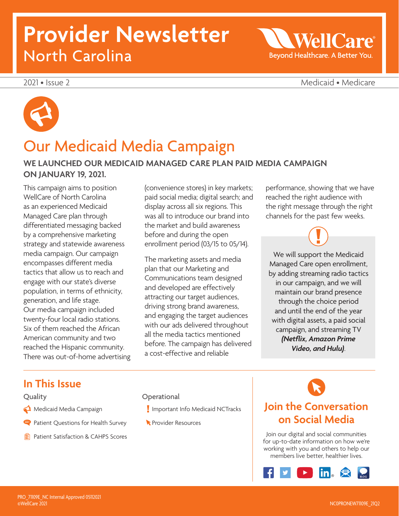# **Provider Newsletter**  North Carolina

2021 • Issue 2 Medicaid • Medicare

 $W$ ell $C_2$ 

Beyond Healthcare. A Better You.



### Our Medicaid Media Campaign

### **WE LAUNCHED OUR MEDICAID MANAGED CARE PLAN PAID MEDIA CAMPAIGN ON JANUARY 19, 2021.**

This campaign aims to position WellCare of North Carolina as an experienced Medicaid Managed Care plan through differentiated messaging backed by a comprehensive marketing strategy and statewide awareness media campaign. Our campaign encompasses different media tactics that allow us to reach and engage with our state's diverse population, in terms of ethnicity, generation, and life stage. Our media campaign included twenty-four local radio stations. Six of them reached the African American community and two reached the Hispanic community. There was out-of-home advertising (convenience stores) in key markets; paid social media; digital search; and display across all six regions. This was all to introduce our brand into the market and build awareness before and during the open enrollment period (03/15 to 05/14).

The marketing assets and media plan that our Marketing and Communications team designed and developed are effectively attracting our target audiences, driving strong brand awareness, and engaging the target audiences with our ads delivered throughout all the media tactics mentioned before. The campaign has delivered a cost-effective and reliable

performance, showing that we have reached the right audience with the right message through the right channels for the past few weeks.

We will support the Medicaid Managed Care open enrollment, by adding streaming radio tactics in our campaign, and we will maintain our brand presence through the choice period and until the end of the year with digital assets, a paid social campaign, and streaming TV *(Netflix, Amazon Prime Video, and Hulu)*.

### **In This Issue**

#### Quality

- Medicaid Media Campaign
- Patient Questions for Health Survey
- **Patient Satisfaction & CAHPS Scores**

**Operational** 

- I Important Info Medicaid NCTracks
- **Resources**

### **Join the Conversation on Social Media**

Join our digital and social communities for up-to-date information on how we're working with you and others to help our members live better, healthier lives.

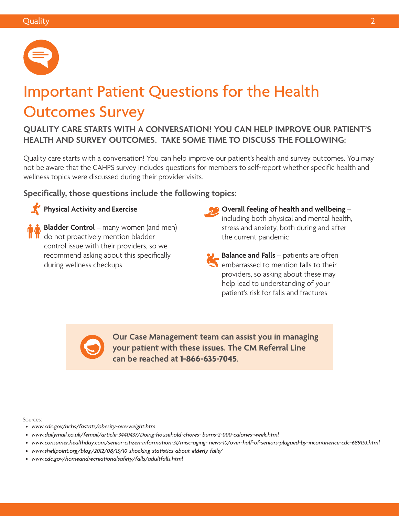

# Important Patient Questions for the Health Outcomes Survey

**QUALITY CARE STARTS WITH A CONVERSATION! YOU CAN HELP IMPROVE OUR PATIENT'S HEALTH AND SURVEY OUTCOMES. TAKE SOME TIME TO DISCUSS THE FOLLOWING:** 

Quality care starts with a conversation! You can help improve our patient's health and survey outcomes. You may not be aware that the CAHPS survey includes questions for members to self-report whether specific health and wellness topics were discussed during their provider visits.

**Specifically, those questions include the following topics:** 

### **Physical Activity and Exercise**

**Bladder Control** – many women (and men) do not proactively mention bladder control issue with their providers, so we recommend asking about this specifically during wellness checkups

- **Overall feeling of health and wellbeing** including both physical and mental health, stress and anxiety, both during and after the current pandemic
- **Balance and Falls** patients are often embarrassed to mention falls to their providers, so asking about these may help lead to understanding of your patient's risk for falls and fractures

**Our Case Management team can assist you in managing your patient with these issues. The CM Referral Line can be reached at 1-866-635-7045**.

Sources:

- *• [www.cdc.gov/nchs/fastats/obesity-overweight.htm](http://www.cdc.gov/nchs/fastats/obesity-overweight.htm)*
- *• [www.dailymail.co.uk/femail/article-3440437/Doing-household-chores- burns-2-000-calories-week.html](http://www.dailymail.co.uk/femail/article-3440437/Doing-household-chores-burns-2-000-calories-week.html)*
- [www.consumer.healthday.com/senior-citizen-information-31/misc-aging- news-10/over-half-of-seniors-plagued-by-incontinence-cdc-689153.html](http://www.consumer.healthday.com/senior-citizen-information-31/misc-aging-news-10/over-half-of-seniors-pl)<br>• www.shellpoint.org/blog/2012/08/13/10-shocking-statistics-about-elderly-falls/
- www.shellpoint.org/blog/2012/08/13/10-shocking-statistics-about-elderly-falls/
- *• [www.cdc.gov/homeandrecreationalsafety/falls/adultfalls.html](http://www.cdc.gov/homeandrecreationalsafety/falls/adultfalls.html)*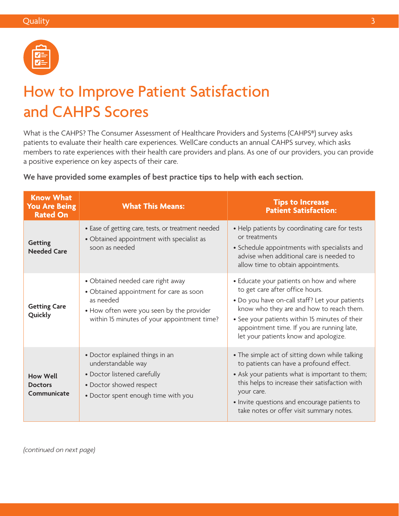

## How to Improve Patient Satisfaction and CAHPS Scores

What is the CAHPS? The Consumer Assessment of Healthcare Providers and Systems (CAHPS®) survey asks patients to evaluate their health care experiences. WellCare conducts an annual CAHPS survey, which asks members to rate experiences with their health care providers and plans. As one of our providers, you can provide a positive experience on key aspects of their care.

**We have provided some examples of best practice tips to help with each section.** 

| <b>Know What</b><br><b>You Are Being</b><br><b>Rated On</b> | <b>What This Means:</b>                                                                                                                                                               | <b>Tips to Increase</b><br><b>Patient Satisfaction:</b>                                                                                                                                                                                                                                                            |
|-------------------------------------------------------------|---------------------------------------------------------------------------------------------------------------------------------------------------------------------------------------|--------------------------------------------------------------------------------------------------------------------------------------------------------------------------------------------------------------------------------------------------------------------------------------------------------------------|
| <b>Getting</b><br><b>Needed Care</b>                        | • Ease of getting care, tests, or treatment needed<br>• Obtained appointment with specialist as<br>soon as needed                                                                     | • Help patients by coordinating care for tests<br>or treatments<br>• Schedule appointments with specialists and<br>advise when additional care is needed to<br>allow time to obtain appointments.                                                                                                                  |
| <b>Getting Care</b><br>Quickly                              | • Obtained needed care right away<br>• Obtained appointment for care as soon<br>as needed<br>• How often were you seen by the provider<br>within 15 minutes of your appointment time? | • Educate your patients on how and where<br>to get care after office hours.<br>. Do you have on-call staff? Let your patients<br>know who they are and how to reach them.<br>• See your patients within 15 minutes of their<br>appointment time. If you are running late,<br>let your patients know and apologize. |
| <b>How Well</b><br><b>Doctors</b><br>Communicate            | • Doctor explained things in an<br>understandable way<br>• Doctor listened carefully<br>• Doctor showed respect<br>• Doctor spent enough time with you                                | • The simple act of sitting down while talking<br>to patients can have a profound effect.<br>• Ask your patients what is important to them;<br>this helps to increase their satisfaction with<br>your care.<br>• Invite questions and encourage patients to<br>take notes or offer visit summary notes.            |

*(continued on next page)*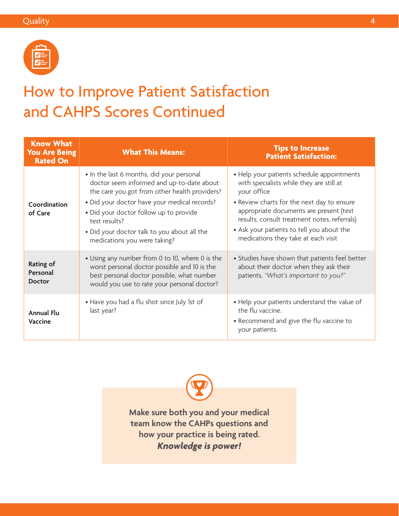

### How to Improve Patient Satisfaction and CAHPS Scores Continued

| <b>Know What</b><br><b>You Are Being</b><br><b>Rated On</b> | <b>What This Means:</b>                                                                                                                                                                                                                                                                                                           | <b>Tips to Increase</b><br><b>Patient Satisfaction:</b>                                                                                                                                                                                                                                                                            |
|-------------------------------------------------------------|-----------------------------------------------------------------------------------------------------------------------------------------------------------------------------------------------------------------------------------------------------------------------------------------------------------------------------------|------------------------------------------------------------------------------------------------------------------------------------------------------------------------------------------------------------------------------------------------------------------------------------------------------------------------------------|
| Coordination<br>of Care                                     | • In the last 6 months, did your personal<br>doctor seem informed and up-to-date about<br>the care you got from other health providers?<br>· Did your doctor have your medical records?<br>• Did your doctor follow up to provide<br>test results?<br>• Did your doctor talk to you about all the<br>medications you were taking? | • Help your patients schedule appointments<br>with specialists while they are still at<br>your office<br>• Review charts for the next day to ensure<br>appropriate documents are present (test<br>results, consult treatment notes, referrals)<br>• Ask your patients to tell you about the<br>medications they take at each visit |
| <b>Rating of</b><br>Personal<br><b>Doctor</b>               | • Using any number from 0 to 10, where 0 is the<br>worst personal doctor possible and 10 is the<br>best personal doctor possible, what number<br>would you use to rate your personal doctor?                                                                                                                                      | • Studies have shown that patients feel better<br>about their doctor when they ask their<br>patients, "What's important to you?"                                                                                                                                                                                                   |
| <b>Annual Flu</b><br><b>Vaccine</b>                         | • Have you had a flu shot since July 1st of<br>last year?                                                                                                                                                                                                                                                                         | • Help your patients understand the value of<br>the flu vaccine.<br>• Recommend and give the flu vaccine to<br>your patients.                                                                                                                                                                                                      |

**Make sure both you and your medical team know the CAHPs questions and how your practice is being rated.**  *Knowledge is power!*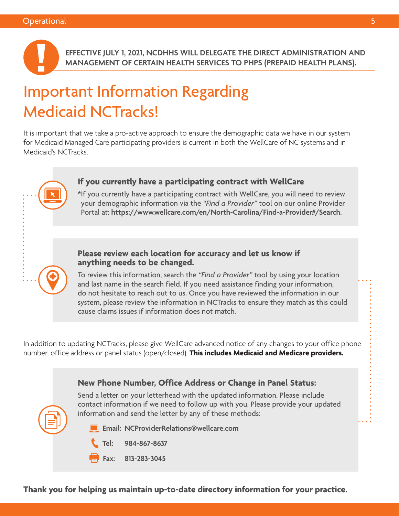

**EFFECTIVE JULY 1, 2021, NCDHHS WILL DELEGATE THE DIRECT ADMINISTRATION AND MANAGEMENT OF CERTAIN HEALTH SERVICES TO PHPS (PREPAID HEALTH PLANS).** 

# Important Information Regarding Medicaid NCTracks!

It is important that we take a pro-active approach to ensure the demographic data we have in our system for Medicaid Managed Care participating providers is current in both the WellCare of NC systems and in Medicaid's NCTracks.

#### **If you currently have a participating contract with WellCare**

\*If you currently have a participating contract with WellCare, you will need to review your demographic information via the *"Find a Provider"* tool on our online Provider Portal at: **<https://www.wellcare.com/en/North-Carolina/Find-a-Provider#/Search>.**

#### **Please review each location for accuracy and let us know if anything needs to be changed.**

To review this information, search the *"Find a Provider"* tool by using your location and last name in the search field. If you need assistance finding your information, do not hesitate to reach out to us. Once you have reviewed the information in our system, please review the information in NCTracks to ensure they match as this could cause claims issues if information does not match.

In addition to updating NCTracks, please give WellCare advanced notice of any changes to your office phone number, office address or panel status (open/closed). **This includes Medicaid and Medicare providers.** 



**Thank you for helping us maintain up-to-date directory information for your practice.**